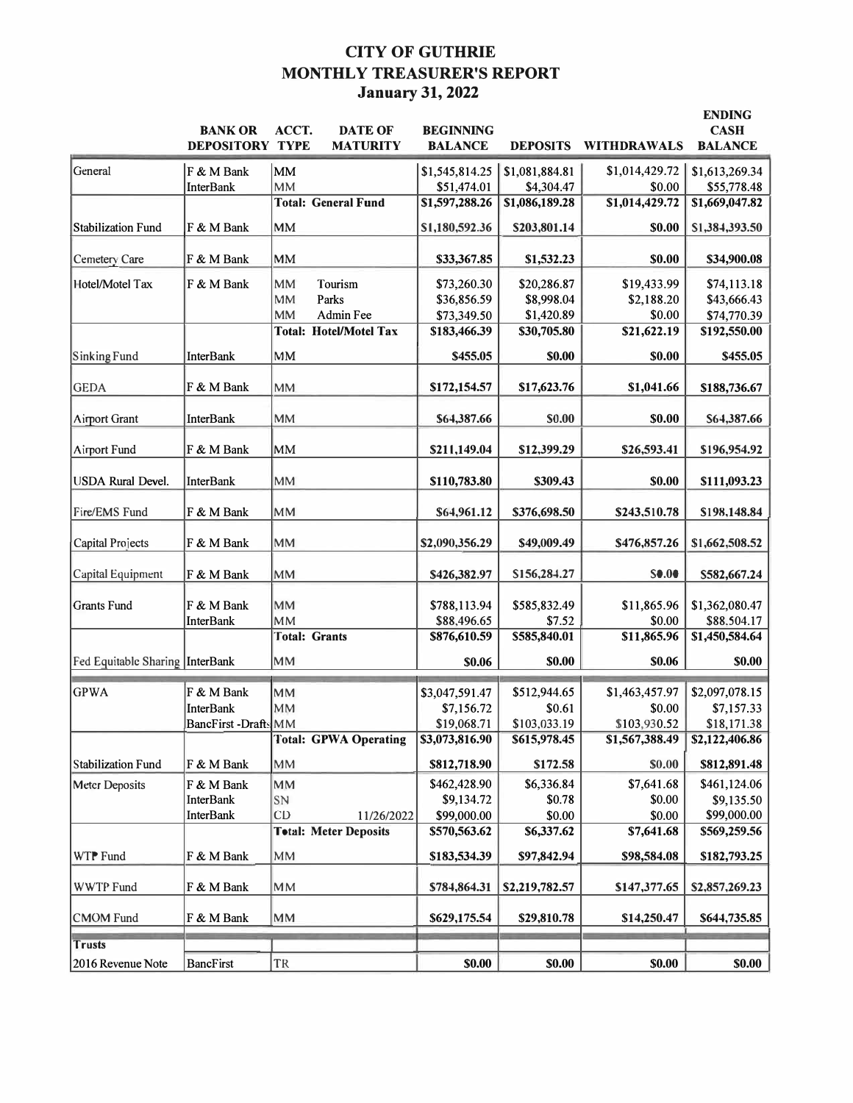# **CITY OF GUTHRIE MONTHLY TREASURER'S REPORT January 31, 2022**

|                                 |                        |                               |                  |                 |                    | <b>ENDING</b>  |
|---------------------------------|------------------------|-------------------------------|------------------|-----------------|--------------------|----------------|
|                                 | <b>BANK OR</b>         | ACCT.<br><b>DATE OF</b>       | <b>BEGINNING</b> |                 |                    | <b>CASH</b>    |
|                                 | <b>DEPOSITORY TYPE</b> | <b>MATURITY</b>               | <b>BALANCE</b>   | <b>DEPOSITS</b> | <b>WITHDRAWALS</b> | <b>BALANCE</b> |
| General                         | F & M Bank             | MM                            | \$1,545,814.25   | \$1,081,884.81  | \$1,014,429.72     | \$1,613,269.34 |
|                                 | <b>InterBank</b>       | <b>MM</b>                     | \$51,474.01      | \$4,304.47      | \$0.00             | \$55,778.48    |
|                                 |                        | <b>Total: General Fund</b>    | \$1,597,288.26   | \$1,086,189.28  | \$1,014,429.72     | \$1,669,047.82 |
| Stabilization Fund              | F & M Bank             | MM                            | \$1,180,592.36   | \$203,801.14    | \$0.00             | \$1,384,393.50 |
|                                 |                        |                               |                  |                 |                    |                |
| Cemetery Care                   | F & M Bank             | MM                            | \$33,367.85      | \$1,532.23      | <b>\$0.00</b>      | \$34,900.08    |
| Hotel/Motel Tax                 | F & M Bank             | <b>MM</b><br>Tourism          | \$73,260.30      | \$20,286.87     | \$19,433.99        | \$74,113.18    |
|                                 |                        | <b>MM</b><br>Parks            | \$36,856.59      | \$8,998.04      | \$2,188.20         | \$43,666.43    |
|                                 |                        | <b>MM</b><br>Admin Fee        | \$73,349.50      | \$1,420.89      | \$0.00             | \$74,770.39    |
|                                 |                        | <b>Total: Hotel/Motel Tax</b> | \$183,466.39     | \$30,705.80     | \$21,622.19        | \$192,550.00   |
| Sinking Fund                    | <b>InterBank</b>       | MM                            | \$455.05         | \$0.00          | \$0.00             | \$455.05       |
|                                 |                        |                               |                  |                 |                    |                |
| <b>GEDA</b>                     | F & M Bank             | <b>MM</b>                     | \$172,154.57     | \$17,623.76     | \$1,041.66         | \$188,736.67   |
|                                 |                        |                               |                  |                 |                    |                |
| <b>Airport Grant</b>            | <b>InterBank</b>       | <b>MM</b>                     | \$64,387.66      | <b>S0.00</b>    | \$0.00             | S64,387.66     |
| Airport Fund                    | F & M Bank             | MM                            | \$211,149.04     | \$12,399.29     | \$26,593.41        | \$196,954.92   |
|                                 |                        |                               |                  |                 |                    |                |
| <b>USDA</b> Rural Devel.        | <b>InterBank</b>       | <b>MM</b>                     | \$110,783.80     | \$309.43        | \$0.00             | \$111,093.23   |
|                                 |                        |                               |                  |                 |                    |                |
| Fire/EMS Fund                   | F & M Bank             | <b>MM</b>                     | \$64,961.12      | \$376,698.50    | \$243,510.78       | \$198,148.84   |
|                                 |                        |                               |                  |                 |                    |                |
| Capital Projects                | F & M Bank             | <b>MM</b>                     | \$2,090,356.29   | \$49,009.49     | \$476,857.26       | \$1,662,508.52 |
| Capital Equipment               | F & M Bank             | <b>MM</b>                     | \$426,382.97     | \$156,284.27    | <b>SO.00</b>       | \$582,667.24   |
|                                 |                        |                               |                  |                 |                    |                |
| <b>Grants Fund</b>              | F & M Bank             | <b>MM</b>                     | \$788,113.94     | \$585,832.49    | \$11,865.96        | \$1,362,080.47 |
|                                 | <b>InterBank</b>       | <b>MM</b>                     | \$88,496.65      | \$7.52          | \$0.00             | \$88,504.17    |
|                                 |                        | <b>Total: Grants</b>          | \$876,610.59     | \$585,840.01    | \$11,865.96        | \$1,450,584.64 |
| Fed Equitable Sharing InterBank |                        | <b>MM</b>                     | \$0.06           | \$0.00          | \$0.06             | <b>\$0.00</b>  |
|                                 |                        |                               |                  |                 |                    |                |
| <b>GPWA</b>                     | F & M Bank             | MM                            | \$3,047,591.47   | \$512,944.65    | \$1,463,457.97     | \$2,097,078.15 |
|                                 | <b>InterBank</b>       | <b>MM</b>                     | \$7,156.72       | \$0.61          | \$0.00             | \$7,157.33     |
|                                 | BancFirst-Drafts MM    |                               | \$19,068.71      | \$103,033.19    | \$103,930.52       | \$18,171.38    |
|                                 |                        | Total: GPWA Operating         | \$3,073,816.90   | \$615,978.45    | \$1,567,388.49     | \$2,122,406.86 |
| <b>Stabilization Fund</b>       | F & M Bank             | MM                            | \$812,718.90     | \$172.58        | \$0.00             | \$812,891.48   |
| Meter Deposits                  | F & M Bank             | MM                            | \$462,428.90     | \$6,336.84      | \$7,641.68         | \$461,124.06   |
|                                 | <b>InterBank</b>       | SN                            | \$9,134.72       | \$0.78          | \$0.00             | \$9,135.50     |
|                                 | <b>InterBank</b>       | CD<br>11/26/2022              | \$99,000.00      | \$0.00          | \$0.00             | \$99,000.00    |
|                                 |                        | <b>Total: Meter Deposits</b>  | \$570,563.62     | \$6,337.62      | \$7,641.68         | \$569,259.56   |
|                                 | F & M Bank             | MM                            |                  |                 | \$98,584.08        | \$182,793.25   |
| WTP Fund                        |                        |                               | \$183,534.39     | \$97,842.94     |                    |                |
| <b>WWTP Fund</b>                | F & M Bank             | MM                            | \$784,864.31     | \$2,219,782.57  | \$147,377.65       | \$2,857,269.23 |
|                                 |                        |                               |                  |                 |                    |                |
| <b>CMOM Fund</b>                | F & M Bank             | MM                            | \$629,175.54     | \$29,810.78     | \$14,250.47        | \$644,735.85   |
| <b>Trusts</b>                   |                        |                               |                  |                 |                    |                |
| 2016 Revenue Note               | <b>BancFirst</b>       | TR                            | \$0.00           | \$0.00          | \$0.00             | \$0.00         |
|                                 |                        |                               |                  |                 |                    |                |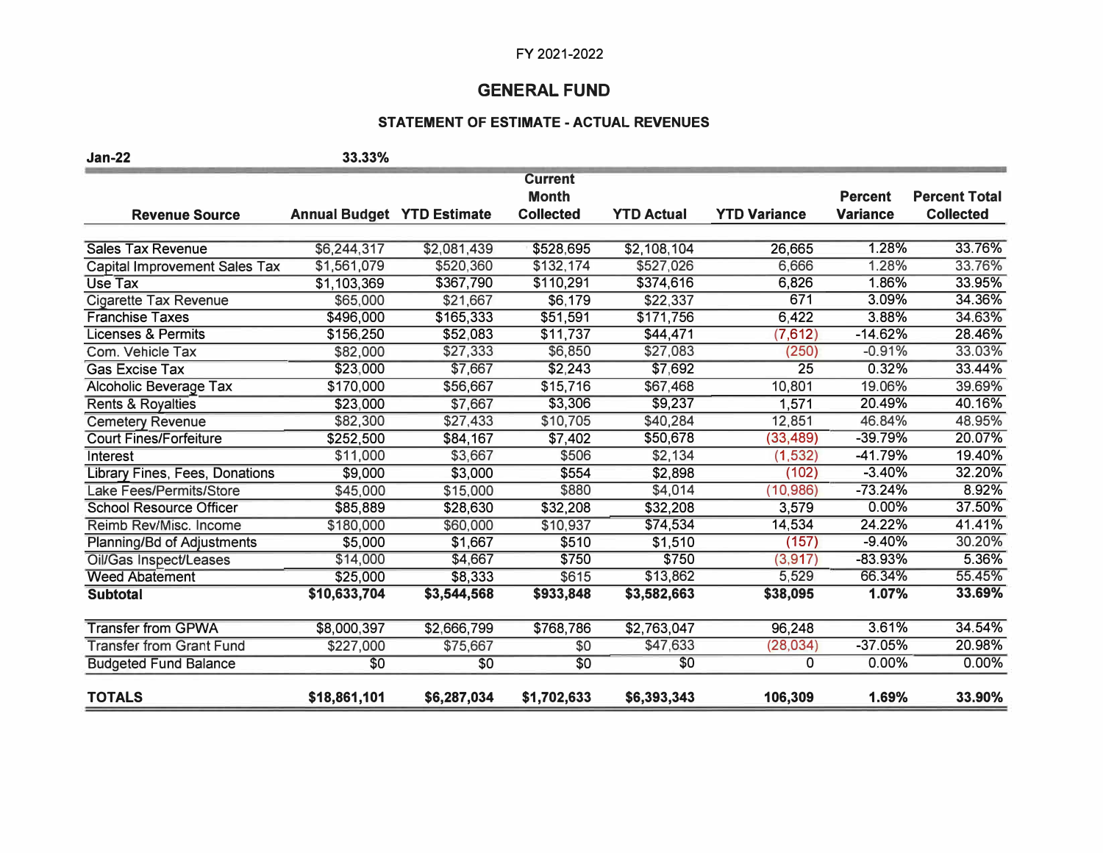## **GENERAL FUND**

## **STATEMENT OF ESTIMATE - ACTUAL REVENUES**

| <b>Jan-22</b>                        | 33.33%                            |             |                  |                   |                     |                 |                      |
|--------------------------------------|-----------------------------------|-------------|------------------|-------------------|---------------------|-----------------|----------------------|
|                                      |                                   |             | <b>Current</b>   |                   |                     |                 |                      |
|                                      |                                   |             | <b>Month</b>     |                   |                     | <b>Percent</b>  | <b>Percent Total</b> |
| <b>Revenue Source</b>                | <b>Annual Budget YTD Estimate</b> |             | <b>Collected</b> | <b>YTD Actual</b> | <b>YTD Variance</b> | <b>Variance</b> | <b>Collected</b>     |
|                                      |                                   |             |                  |                   |                     |                 |                      |
| <b>Sales Tax Revenue</b>             | \$6,244,317                       | \$2,081,439 | \$528,695        | \$2,108,104       | 26,665              | 1.28%           | 33.76%               |
| <b>Capital Improvement Sales Tax</b> | \$1,561,079                       | \$520,360   | \$132,174        | \$527,026         | 6,666               | 1.28%           | 33.76%               |
| <b>Use Tax</b>                       | \$1,103,369                       | \$367,790   | \$110,291        | \$374,616         | 6,826               | 1.86%           | 33.95%               |
| <b>Cigarette Tax Revenue</b>         | \$65,000                          | \$21,667    | \$6,179          | \$22,337          | 671                 | 3.09%           | 34.36%               |
| <b>Franchise Taxes</b>               | \$496,000                         | \$165,333   | \$51,591         | \$171,756         | 6,422               | 3.88%           | 34.63%               |
| <b>Licenses &amp; Permits</b>        | \$156,250                         | \$52,083    | \$11,737         | \$44,471          | (7,612)             | $-14.62%$       | 28.46%               |
| Com. Vehicle Tax                     | \$82,000                          | \$27,333    | \$6,850          | \$27,083          | (250)               | $-0.91%$        | 33.03%               |
| <b>Gas Excise Tax</b>                | \$23,000                          | \$7,667     | \$2,243          | \$7,692           | 25                  | 0.32%           | 33.44%               |
| Alcoholic Beverage Tax               | \$170,000                         | \$56,667    | \$15,716         | \$67,468          | 10,801              | 19.06%          | 39.69%               |
| Rents & Royalties                    | \$23,000                          | \$7,667     | \$3,306          | \$9,237           | 1,571               | 20.49%          | 40.16%               |
| <b>Cemetery Revenue</b>              | \$82,300                          | \$27,433    | \$10,705         | \$40,284          | 12,851              | 46.84%          | 48.95%               |
| <b>Court Fines/Forfeiture</b>        | \$252,500                         | \$84,167    | \$7,402          | \$50,678          | (33, 489)           | -39.79%         | 20.07%               |
| Interest                             | \$11,000                          | \$3,667     | \$506            | \$2,134           | (1, 532)            | $-41.79%$       | 19.40%               |
| Library Fines, Fees, Donations       | \$9,000                           | \$3,000     | \$554            | \$2,898           | (102)               | $-3.40%$        | 32.20%               |
| Lake Fees/Permits/Store              | \$45,000                          | \$15,000    | \$880            | \$4,014           | (10, 986)           | $-73.24%$       | 8.92%                |
| <b>School Resource Officer</b>       | \$85,889                          | \$28,630    | \$32,208         | \$32,208          | 3,579               | 0.00%           | 37.50%               |
| Reimb Rev/Misc. Income               | \$180,000                         | \$60,000    | \$10,937         | \$74,534          | 14,534              | 24.22%          | 41.41%               |
| Planning/Bd of Adjustments           | \$5,000                           | \$1,667     | \$510            | \$1,510           | (157)               | $-9.40%$        | 30.20%               |
| Oil/Gas Inspect/Leases               | \$14,000                          | \$4,667     | \$750            | \$750             | (3, 917)            | $-83.93%$       | 5.36%                |
| <b>Weed Abatement</b>                | \$25,000                          | \$8,333     | \$615            | \$13,862          | 5,529               | 66.34%          | 55.45%               |
| <b>Subtotal</b>                      | \$10,633,704                      | \$3,544,568 | \$933,848        | \$3,582,663       | \$38,095            | 1.07%           | 33.69%               |
| <b>Transfer from GPWA</b>            | \$8,000,397                       | \$2,666,799 | \$768,786        | \$2,763,047       | 96,248              | 3.61%           | 34.54%               |
| <b>Transfer from Grant Fund</b>      | \$227,000                         | \$75,667    | \$0              | \$47,633          | (28, 034)           | $-37.05%$       | 20.98%               |
| <b>Budgeted Fund Balance</b>         | \$0                               | \$0         | \$0              | \$0               | $\Omega$            | 0.00%           | 0.00%                |
| <b>TOTALS</b>                        | \$18,861,101                      | \$6,287,034 | \$1,702,633      | \$6,393,343       | 106,309             | 1.69%           | 33.90%               |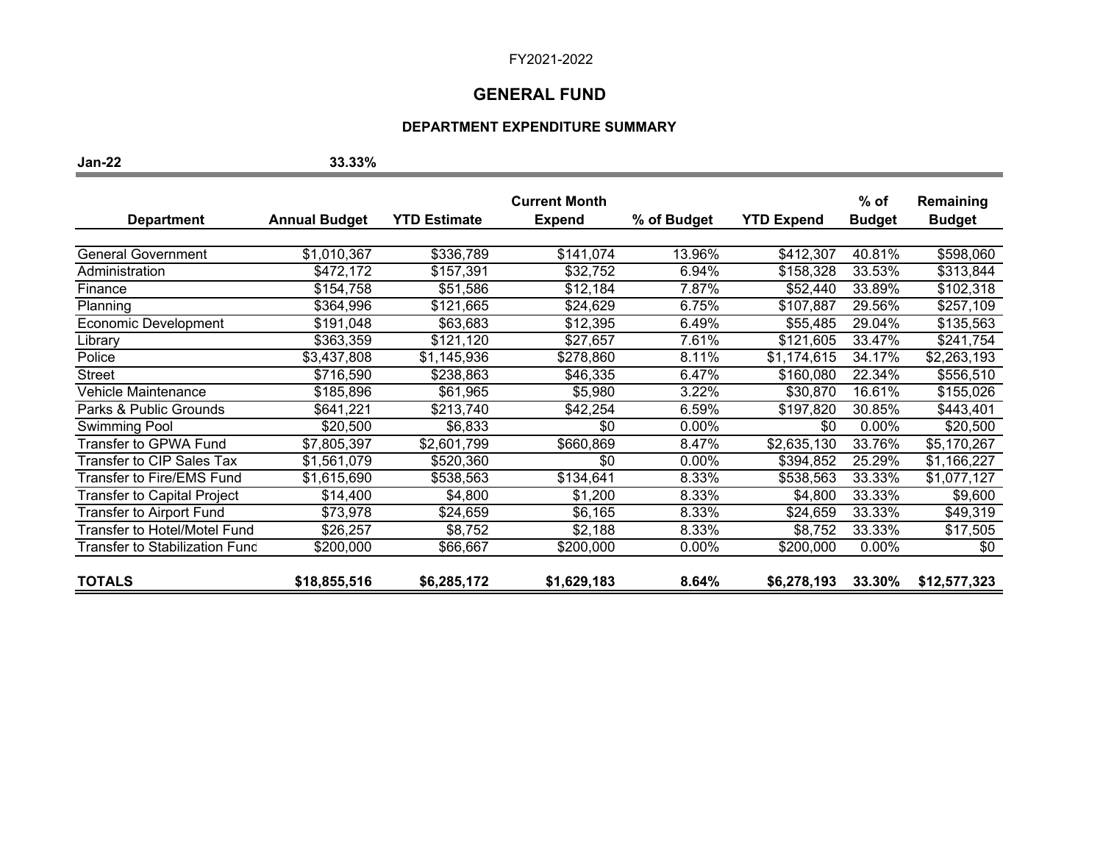## **GENERAL FUND**

#### **DEPARTMENT EXPENDITURE SUMMARY**

**Jan-22 33.33%** 

|                                    |                      |                     | <b>Current Month</b> |             |                   | $%$ of        | Remaining     |
|------------------------------------|----------------------|---------------------|----------------------|-------------|-------------------|---------------|---------------|
| <b>Department</b>                  | <b>Annual Budget</b> | <b>YTD Estimate</b> | <b>Expend</b>        | % of Budget | <b>YTD Expend</b> | <b>Budget</b> | <b>Budget</b> |
|                                    |                      |                     |                      |             |                   |               |               |
| <b>General Government</b>          | \$1,010,367          | \$336,789           | \$141,074            | 13.96%      | \$412,307         | 40.81%        | \$598,060     |
| Administration                     | \$472,172            | \$157,391           | \$32,752             | 6.94%       | \$158,328         | 33.53%        | \$313,844     |
| Finance                            | \$154,758            | \$51,586            | \$12,184             | 7.87%       | \$52,440          | 33.89%        | \$102,318     |
| Planning                           | \$364,996            | \$121,665           | \$24,629             | 6.75%       | \$107,887         | 29.56%        | \$257,109     |
| Economic Development               | \$191,048            | \$63,683            | \$12,395             | 6.49%       | \$55,485          | 29.04%        | \$135,563     |
| Library                            | \$363,359            | \$121,120           | \$27,657             | 7.61%       | \$121,605         | 33.47%        | \$241,754     |
| Police                             | \$3,437,808          | \$1,145,936         | \$278,860            | 8.11%       | \$1,174,615       | 34.17%        | \$2,263,193   |
| <b>Street</b>                      | \$716,590            | \$238,863           | \$46,335             | 6.47%       | \$160,080         | 22.34%        | \$556,510     |
| Vehicle Maintenance                | \$185,896            | \$61,965            | \$5,980              | 3.22%       | \$30,870          | 16.61%        | \$155,026     |
| Parks & Public Grounds             | \$641,221            | \$213,740           | \$42,254             | 6.59%       | \$197,820         | 30.85%        | \$443,401     |
| Swimming Pool                      | \$20,500             | \$6,833             | \$0                  | 0.00%       | \$0               | $0.00\%$      | \$20,500      |
| Transfer to GPWA Fund              | \$7,805,397          | \$2,601,799         | \$660,869            | 8.47%       | \$2,635,130       | 33.76%        | \$5,170,267   |
| <b>Transfer to CIP Sales Tax</b>   | \$1,561,079          | \$520,360           | \$0                  | 0.00%       | \$394,852         | 25.29%        | \$1,166,227   |
| <b>Transfer to Fire/EMS Fund</b>   | \$1,615,690          | \$538,563           | \$134,641            | 8.33%       | \$538,563         | 33.33%        | \$1,077,127   |
| <b>Transfer to Capital Project</b> | \$14,400             | \$4,800             | \$1,200              | 8.33%       | \$4,800           | 33.33%        | \$9,600       |
| <b>Transfer to Airport Fund</b>    | \$73,978             | \$24,659            | \$6,165              | 8.33%       | \$24,659          | 33.33%        | \$49,319      |
| Transfer to Hotel/Motel Fund       | \$26,257             | \$8,752             | \$2,188              | 8.33%       | \$8,752           | 33.33%        | \$17,505      |
| Transfer to Stabilization Fund     | \$200,000            | \$66,667            | \$200,000            | 0.00%       | \$200,000         | $0.00\%$      | \$0           |
| <b>TOTALS</b>                      | \$18,855,516         | \$6,285,172         | \$1,629,183          | 8.64%       | \$6,278,193       | 33.30%        | \$12,577,323  |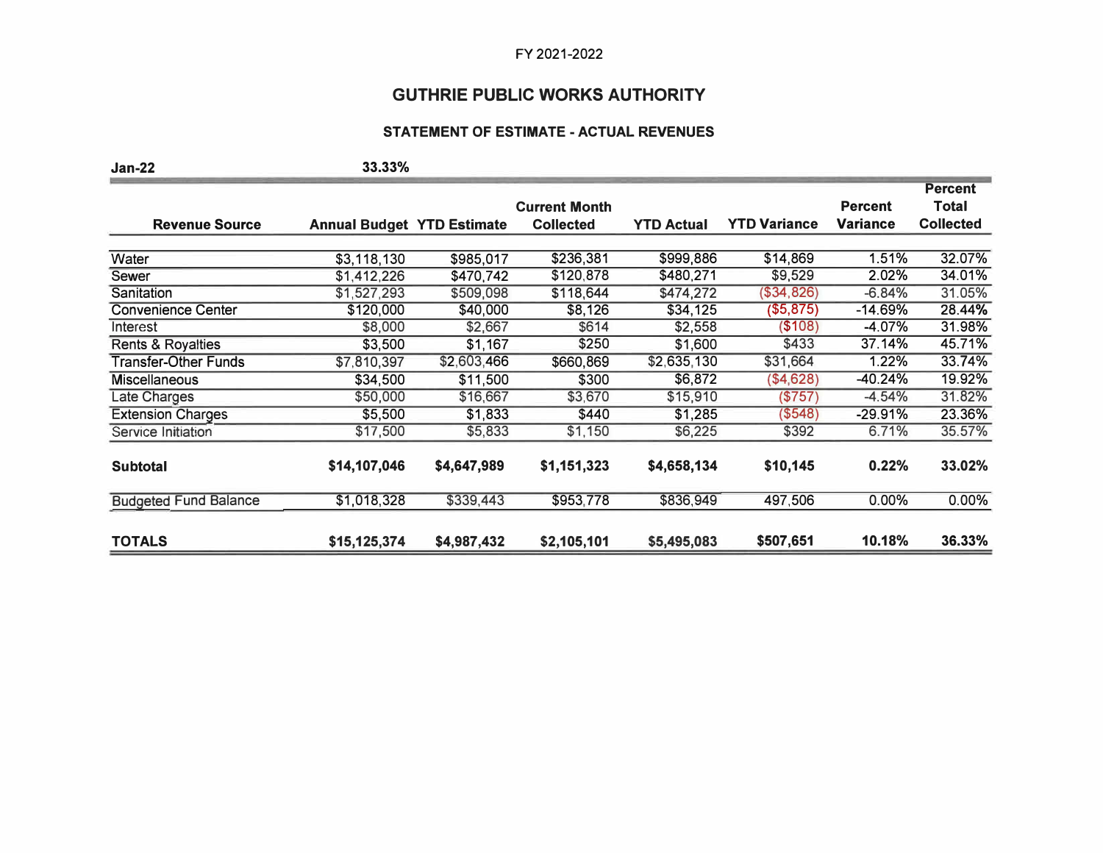# **GUTHRIE PUBLIC WORKS AUTHORITY**

## **STATEMENT OF ESTIMATE - ACTUAL REVENUES**

| <b>Jan-22</b>                | 33.33%                            |             |                      |                   |                     |                 |                  |
|------------------------------|-----------------------------------|-------------|----------------------|-------------------|---------------------|-----------------|------------------|
|                              |                                   |             |                      |                   |                     |                 | <b>Percent</b>   |
|                              |                                   |             | <b>Current Month</b> |                   |                     | <b>Percent</b>  | <b>Total</b>     |
| <b>Revenue Source</b>        | <b>Annual Budget YTD Estimate</b> |             | <b>Collected</b>     | <b>YTD Actual</b> | <b>YTD Variance</b> | <b>Variance</b> | <b>Collected</b> |
|                              |                                   |             |                      |                   |                     |                 |                  |
| Water                        | \$3,118,130                       | \$985,017   | \$236,381            | \$999,886         | \$14,869            | 1.51%           | 32.07%           |
| Sewer                        | \$1,412,226                       | \$470,742   | \$120,878            | \$480,271         | \$9,529             | 2.02%           | 34.01%           |
| Sanitation                   | \$1,527,293                       | \$509,098   | \$118,644            | \$474,272         | (\$34, 826)         | $-6.84%$        | 31.05%           |
| <b>Convenience Center</b>    | \$120,000                         | \$40,000    | \$8,126              | \$34,125          | (\$5,875)           | $-14.69%$       | 28.44%           |
| Interest                     | \$8,000                           | \$2,667     | \$614                | \$2,558           | (\$108)             | $-4.07%$        | 31.98%           |
| Rents & Royalties            | \$3,500                           | \$1,167     | \$250                | \$1,600           | \$433               | 37.14%          | 45.71%           |
| <b>Transfer-Other Funds</b>  | \$7,810,397                       | \$2,603,466 | \$660,869            | \$2,635,130       | \$31,664            | 1.22%           | 33.74%           |
| <b>Miscellaneous</b>         | \$34,500                          | \$11,500    | \$300                | \$6,872           | (\$4,628)           | $-40.24%$       | 19.92%           |
| Late Charges                 | \$50,000                          | \$16,667    | \$3,670              | \$15,910          | (\$757)             | $-4.54%$        | 31.82%           |
| <b>Extension Charges</b>     | \$5,500                           | \$1,833     | \$440                | \$1,285           | (\$548)             | $-29.91%$       | 23.36%           |
| Service Initiation           | \$17,500                          | \$5,833     | \$1,150              | \$6,225           | \$392               | 6.71%           | 35.57%           |
|                              |                                   |             |                      |                   |                     |                 |                  |
| <b>Subtotal</b>              | \$14,107,046                      | \$4,647,989 | \$1,151,323          | \$4,658,134       | \$10,145            | 0.22%           | 33.02%           |
| <b>Budgeted Fund Balance</b> | \$1,018,328                       | \$339,443   | \$953,778            | \$836,949         | 497,506             | 0.00%           | $0.00\%$         |
| <b>TOTALS</b>                | \$15,125,374                      | \$4,987,432 | \$2,105,101          | \$5,495,083       | \$507,651           | 10.18%          | 36.33%           |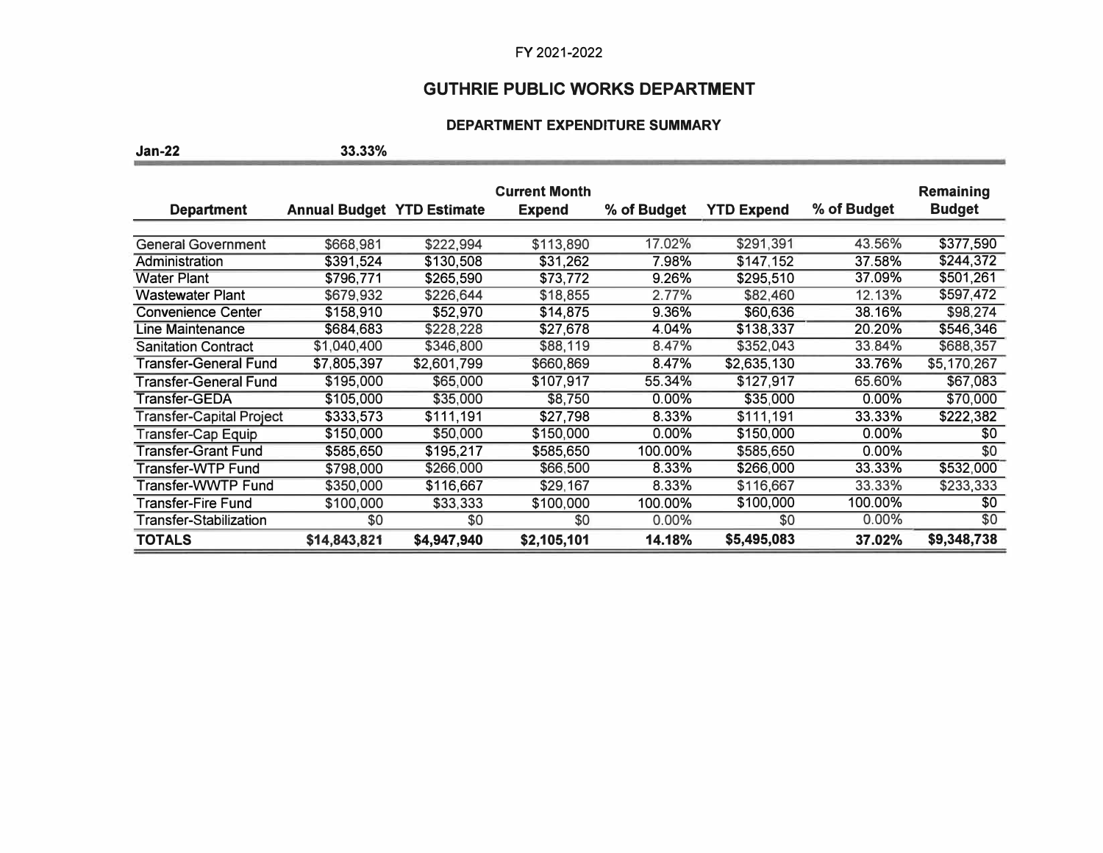### **GUTHRIE PUBLIC WORKS DEPARTMENT**

#### **DEPARTMENT EXPENDITURE SUMMARY**

**Jan-22 33.33%** 

**Current Month Remaining Remaining Remaining Department Annual Budget YTD Estimate Expend % of Budget YTD Expend % of Budget Budget**  General Government \$668,981 \$222,994 \$113,890 17.02% \$291,391 43.56% \$377,590 Administration \$391,524 \$130,508 \$31,262 7.98% \$147,152 37.58% **\$244,372**  Water Plant \$796,771 \$265,590 \$73,772 9.26% \$295,510 37.09% \$501,261 Vastewater Plant  $$679,932$   $$226,644$   $$18,855$   $$2.77\%$   $$82,460$   $12.13\%$   $$597,472$ <br>Convenience Center  $$158,910$   $$52,970$   $$14,875$   $9.36\%$   $$60,636$   $$38.16\%$   $$98,274$ Convenience Center 5158,910 \$52,970 \$14,875 9.36% \$60,636 38.16% \$98,274<br>
Line Maintenance \$684,683 \$228,228 \$27,678 4.04% \$138,337 20.20% \$546,346 Line Maintenance \$684,683 \$228,228 \$27,678 4.04% \$138,337 20.20% \$546,346 Sanitation Contract \$1,040,400 \$346,800 \$88,119 8.47% \$352,043 33.84% \$688,357<br>Transfer-General Fund \$7,805,397 \$2,601,799 \$660,869 8.47% \$2,635,130 33.76% \$5,170,267 Transfer-General Fund \$7,805,397 \$2,601,799 \$660,869 8.47% \$2,635,130 33.76% \$5,170,267 Transfer-General Fund \$195,000 \$65,000 \$107,917 55.34% \$127,917 65.60% \$67,083 Transfer-GE DA \$105,000 \$35,000 \$8,750 0.00% \$35,000 0.00% \$70,000 Transfer-Capital Project \$333,573 \$111,191 \$27,798 8.33% \$111,191 33.33% **\$222,382**  Transfer-Cap Equip \$150,000 \$50,000 \$150,000 0.00% \$0<br>Transfer-Grant Fund \$585.650 \$195.217 \$585.650 100.00% \$585,650 0.00% \$0 Transfer-Grant Fund \$585,650 \$195,217 \$585,650 100.00% \$585,650 0.00% \$0<br>Transfer-WTP Fund \$798,000 \$266,000 \$66,500 8.33% \$266,000 33.33% \$532,000 Transfer-WTP Fund  $$798,000$   $$266,000$   $$66,500$  8.33% \$266,000 33.33% Transfer-WWTP Fund \$350,000 \$116,667 \$29,167 8.33% \$116,667 33.33% \$233,333 Transfer-Fire Fund \$100,000 \$33,333 \$100,000 100.00% \$100,000 100.00% \$0 Transfer-Stabilization \$0 \$0 \$0 0.00% \$0 0.00% \$0 **TOTALS \$14,843,821 \$4,947,940 \$2,105,101 14.18% \$5,495,083 37.02% \$9,348,738**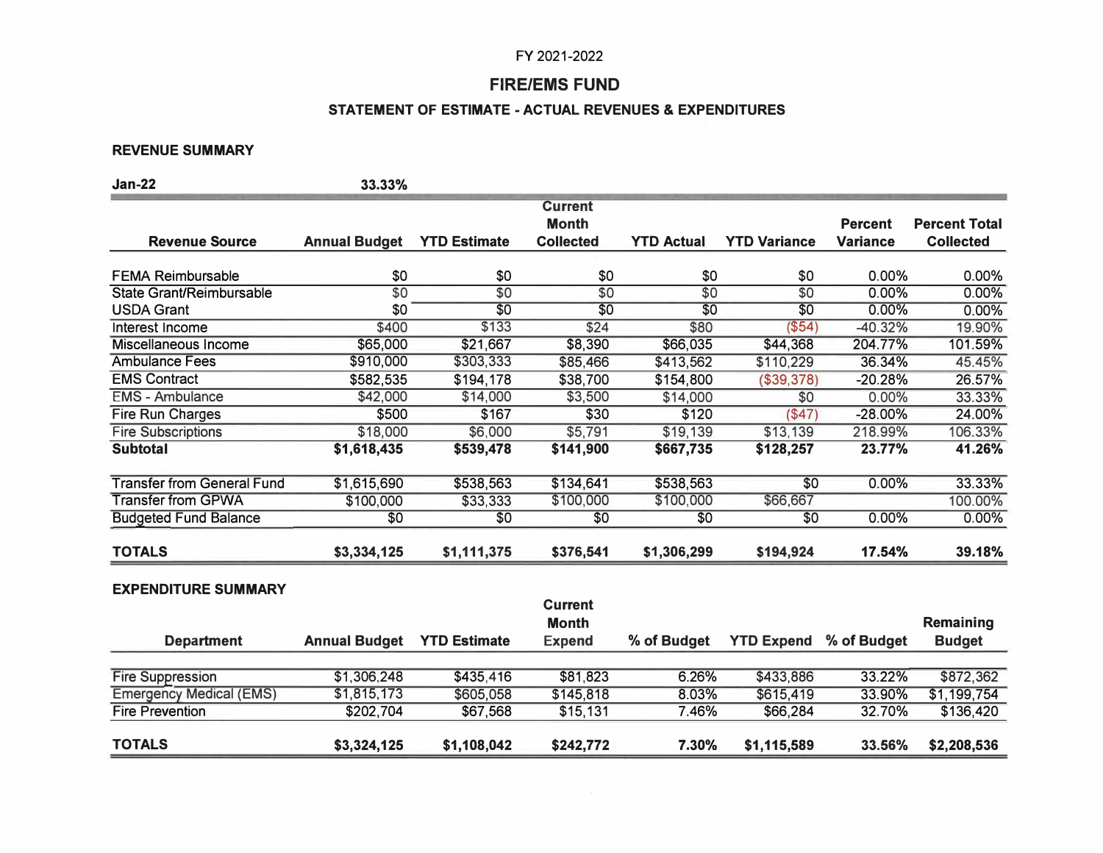## **FIRE/EMS FUND**

## **STATEMENT OF ESTIMATE - ACTUAL REVENUES & EXPENDITURES**

### **REVENUE SUMMARY**

| <b>Jan-22</b>                     | 33.33%               |                     |                  |                   |                     |                 |                      |
|-----------------------------------|----------------------|---------------------|------------------|-------------------|---------------------|-----------------|----------------------|
|                                   |                      |                     | <b>Current</b>   |                   |                     |                 |                      |
|                                   |                      |                     | <b>Month</b>     |                   |                     | <b>Percent</b>  | <b>Percent Total</b> |
| <b>Revenue Source</b>             | <b>Annual Budget</b> | <b>YTD Estimate</b> | <b>Collected</b> | <b>YTD Actual</b> | <b>YTD Variance</b> | <b>Variance</b> | <b>Collected</b>     |
| <b>FEMA Reimbursable</b>          | \$0                  | \$0                 | \$0              | \$0               | \$0                 | 0.00%           | 0.00%                |
| <b>State Grant/Reimbursable</b>   | $\overline{50}$      | $\overline{50}$     | $\overline{50}$  | $\overline{50}$   | $\overline{50}$     | 0.00%           | 0.00%                |
| <b>USDA Grant</b>                 | \$0                  | $\overline{30}$     | $\overline{30}$  | $\overline{50}$   | $\overline{50}$     | 0.00%           | 0.00%                |
| Interest Income                   | \$400                | \$133               | \$24             | \$80              | ( \$54)             | $-40.32%$       | 19.90%               |
| Miscellaneous Income              | \$65,000             | \$21,667            | \$8,390          | \$66,035          | \$44,368            | 204.77%         | 101.59%              |
| <b>Ambulance Fees</b>             | \$910,000            | \$303,333           | \$85,466         | \$413,562         | \$110,229           | 36.34%          | 45.45%               |
| <b>EMS Contract</b>               | \$582,535            | \$194,178           | \$38,700         | \$154,800         | (\$39,378)          | $-20.28%$       | 26.57%               |
| <b>EMS - Ambulance</b>            | \$42,000             | \$14,000            | \$3,500          | \$14,000          | \$0                 | 0.00%           | 33.33%               |
| <b>Fire Run Charges</b>           | \$500                | \$167               | \$30             | \$120             | $($ \$47)           | $-28.00%$       | 24.00%               |
| <b>Fire Subscriptions</b>         | \$18,000             | \$6,000             | \$5,791          | \$19,139          | \$13,139            | 218.99%         | 106.33%              |
| <b>Subtotal</b>                   | \$1,618,435          | \$539,478           | \$141,900        | \$667,735         | \$128,257           | 23.77%          | 41.26%               |
| <b>Transfer from General Fund</b> | \$1,615,690          | \$538,563           | \$134,641        | \$538,563         | \$0                 | 0.00%           | 33.33%               |
| <b>Transfer from GPWA</b>         | \$100,000            | \$33,333            | \$100,000        | \$100,000         | \$66,667            |                 | 100.00%              |
| <b>Budgeted Fund Balance</b>      | \$0                  | \$0                 | \$0              | \$0               | \$0                 | 0.00%           | 0.00%                |
| <b>TOTALS</b>                     | \$3,334,125          | \$1,111,375         | \$376,541        | \$1,306,299       | \$194,924           | 17.54%          | 39.18%               |
| <b>EXPENDITURE SUMMARY</b>        |                      |                     |                  |                   |                     |                 |                      |
|                                   |                      |                     | <b>Current</b>   |                   |                     |                 |                      |
|                                   |                      |                     | <b>Month</b>     |                   |                     |                 | Remaining            |
| <b>Department</b>                 | <b>Annual Budget</b> | <b>YTD Estimate</b> | <b>Expend</b>    | % of Budget       | <b>YTD Expend</b>   | % of Budget     | <b>Budget</b>        |
| <b>Fire Suppression</b>           | \$1 306 248          | \$435,416           | \$81,823         | 6.26%             | \$433886            | 33.22%          | \$872 362            |

| <b>TOTALS</b>                  | \$3,324,125 | \$1,108,042 | \$242,772 | 7.30% | \$1,115,589 | 33.56% | \$2,208,536 |
|--------------------------------|-------------|-------------|-----------|-------|-------------|--------|-------------|
| <b>Fire Prevention</b>         | \$202,704   | \$67,568    | \$15,131  | 7.46% | \$66,284    | 32.70% | \$136,420   |
| <b>Emergency Medical (EMS)</b> | \$1.815,173 | \$605.058   | \$145.818 | 8.03% | \$615.419   | 33.90% | \$1,199,754 |
| <b>Fire Suppression</b>        | \$1.306.248 | \$435.416   | \$81.823  | 6.26% | \$433,886   | 33.22% | \$872,362   |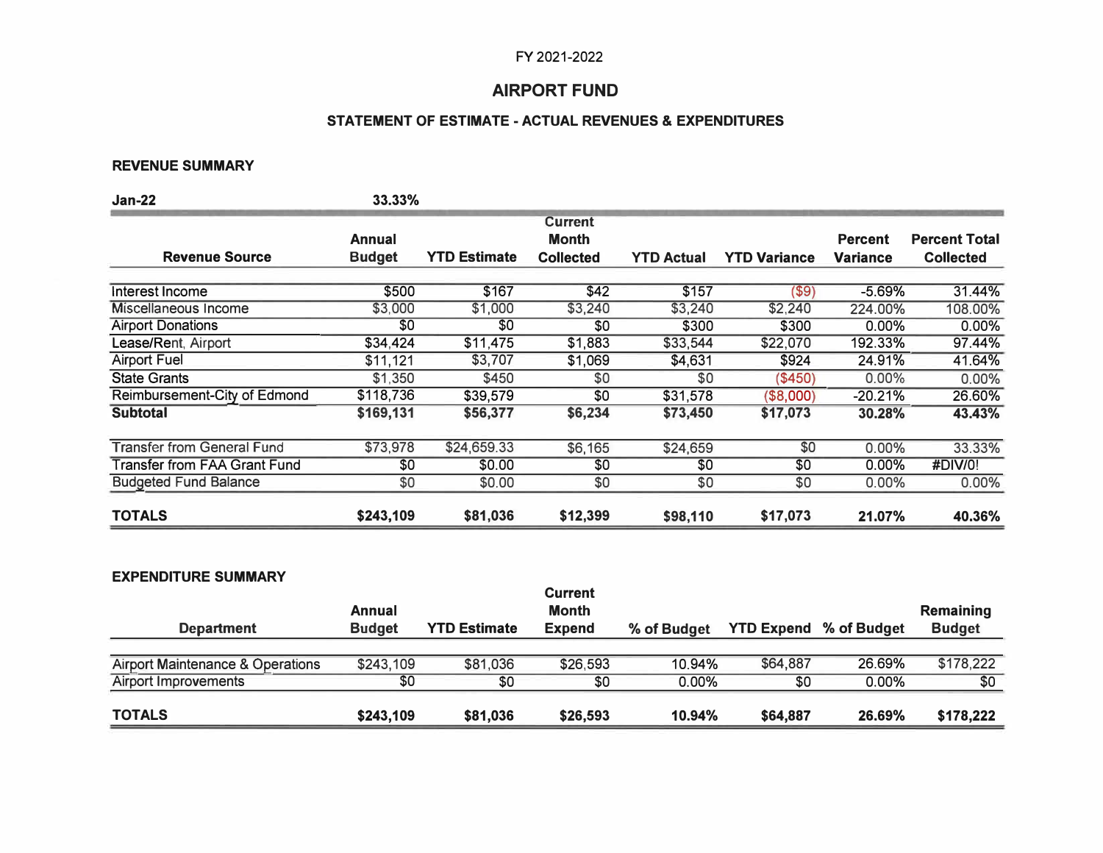## **AIRPORT FUND**

## **STATEMENT OF ESTIMATE - ACTUAL REVENUES & EXPENDITURES**

### **REVENUE SUMMARY**

| <b>Jan-22</b>                     | 33.33%        |                     |                                |                   |                     |                 |                      |
|-----------------------------------|---------------|---------------------|--------------------------------|-------------------|---------------------|-----------------|----------------------|
|                                   | Annual        |                     | <b>Current</b><br><b>Month</b> |                   |                     | <b>Percent</b>  | <b>Percent Total</b> |
| <b>Revenue Source</b>             | <b>Budget</b> | <b>YTD Estimate</b> | <b>Collected</b>               | <b>YTD Actual</b> | <b>YTD Variance</b> | <b>Variance</b> | <b>Collected</b>     |
| Interest Income                   | \$500         | \$167               | \$42                           | \$157             | $($ \$9)            | $-5.69%$        | 31.44%               |
| Miscellaneous Income              | \$3,000       | \$1,000             | \$3,240                        | \$3,240           | \$2,240             | 224.00%         | 108.00%              |
| <b>Airport Donations</b>          | \$0           | \$0                 | \$0                            | \$300             | \$300               | 0.00%           | 0.00%                |
| Lease/Rent, Airport               | \$34,424      | \$11,475            | \$1,883                        | \$33,544          | \$22,070            | 192.33%         | 97.44%               |
| <b>Airport Fuel</b>               | \$11,121      | \$3,707             | \$1,069                        | \$4,631           | \$924               | 24.91%          | 41.64%               |
| <b>State Grants</b>               | \$1,350       | \$450               | \$0                            | \$0               | (\$450)             | $0.00\%$        | 0.00%                |
| Reimbursement-City of Edmond      | \$118,736     | \$39,579            | \$0                            | \$31,578          | (\$8,000)           | $-20.21%$       | 26.60%               |
| <b>Subtotal</b>                   | \$169,131     | \$56,377            | \$6,234                        | \$73,450          | \$17,073            | 30.28%          | 43.43%               |
| <b>Transfer from General Fund</b> | \$73,978      | \$24,659.33         | \$6,165                        | \$24,659          | \$0                 | $0.00\%$        | 33.33%               |
| Transfer from FAA Grant Fund      | \$0           | \$0.00              | \$0                            | \$0               | \$0                 | $0.00\%$        | #DIV/0!              |
| <b>Budgeted Fund Balance</b>      | \$0           | \$0.00              | \$0                            | \$0               | \$0                 | 0.00%           | 0.00%                |
| <b>TOTALS</b>                     | \$243,109     | \$81,036            | \$12,399                       | \$98,110          | \$17,073            | 21.07%          | 40.36%               |

### **EXPENDITURE SUMMARY**

| <b>TOTALS</b>                               | \$243,109               | \$81,036            | \$26,593                                        | 10.94%      | \$64,887 | 26.69%                        | \$178,222                         |
|---------------------------------------------|-------------------------|---------------------|-------------------------------------------------|-------------|----------|-------------------------------|-----------------------------------|
| Airport Improvements                        | \$0                     | \$0                 | \$0                                             | $0.00\%$    | \$0      | $0.00\%$                      | \$0                               |
| <b>Airport Maintenance &amp; Operations</b> | \$243,109               | \$81,036            | \$26,593                                        | 10.94%      | \$64,887 | 26.69%                        | \$178,222                         |
| <b>Department</b>                           | Annual<br><b>Budget</b> | <b>YTD Estimate</b> | <b>Current</b><br><b>Month</b><br><b>Expend</b> | % of Budget |          | <b>YTD Expend % of Budget</b> | <b>Remaining</b><br><b>Budget</b> |